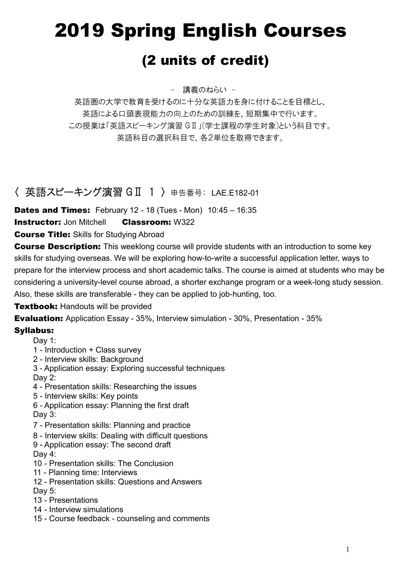# 2019 Spring English Courses

# (2 units of credit)

- 講義のねらい -

英語圏の大学で教育を受けるのに十分な英語力を身に付けることを目標とし、 英語による口頭表現能力の向上のための訓練を、短期集中で行います。 この授業は「英語スピーキング演習 GⅡ」(学士課程の学生対象)という科目です。 英語科目の選択科目で、各2単位を取得できます。

# 〈 英語スピーキング演習 GⅡ 1 〉 申告番号: LAE.E182-01

**Dates and Times:** February 12 - 18 (Tues - Mon) 10:45 - 16:35

#### **Instructor:** Jon Mitchell **Classroom:** W322

**Course Title: Skills for Studying Abroad** 

**Course Description:** This weeklong course will provide students with an introduction to some key skills for studying overseas. We will be exploring how-to-write a successful application letter, ways to prepare for the interview process and short academic talks. The course is aimed at students who may be considering a university-level course abroad, a shorter exchange program or a week-long study session. Also, these skills are transferable - they can be applied to job-hunting, too.

#### **Textbook: Handouts will be provided**

Evaluation: Application Essay - 35%, Interview simulation - 30%, Presentation - 35%

#### Syllabus:

Day 1:

- 1 Introduction + Class survey
- 2 Interview skills: Background
- 3 Application essay: Exploring successful techniques Day 2:
- 4 Presentation skills: Researching the issues
- 5 Interview skills: Key points
- 6 Application essay: Planning the first draft Day 3:
- 7 Presentation skills: Planning and practice
- 8 Interview skills: Dealing with difficult questions
- 9 Application essay: The second draft Day 4:
- 10 Presentation skills: The Conclusion
- 11 Planning time: Interviews
- 12 Presentation skills: Questions and Answers

Day 5:

- 13 Presentations
- 14 Interview simulations
- 15 Course feedback counseling and comments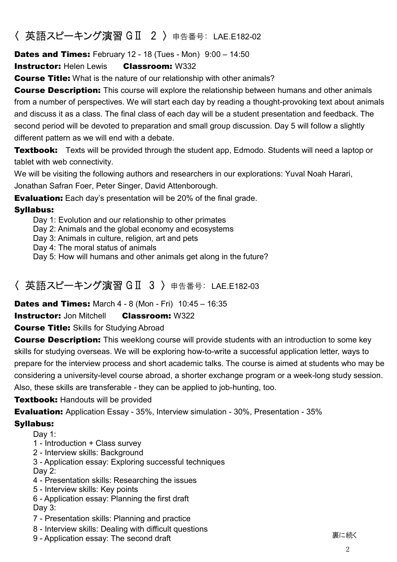# 〈 英語スピーキング演習 GⅡ 2 〉 申告番号: LAE.E182-02

**Dates and Times:** February 12 - 18 (Tues - Mon) 9:00 - 14:50

**Instructor: Helen Lewis Classroom: W332** 

**Course Title:** What is the nature of our relationship with other animals?

**Course Description:** This course will explore the relationship between humans and other animals from a number of perspectives. We will start each day by reading a thought-provoking text about animals and discuss it as a class. The final class of each day will be a student presentation and feedback. The second period will be devoted to preparation and small group discussion. Day 5 will follow a slightly different pattern as we will end with a debate.

**Textbook:** Texts will be provided through the student app, Edmodo. Students will need a laptop or tablet with web connectivity.

We will be visiting the following authors and researchers in our explorations: Yuval Noah Harari, Jonathan Safran Foer, Peter Singer, David Attenborough.

**Evaluation:** Each day's presentation will be 20% of the final grade.

#### Syllabus:

Day 1: Evolution and our relationship to other primates

Day 2: Animals and the global economy and ecosystems

Day 3: Animals in culture, religion, art and pets

Day 4: The moral status of animals

Day 5: How will humans and other animals get along in the future?

## 〈 英語スピーキング演習 GⅡ 3 〉 申告番号: LAE.E182-03

**Dates and Times:** March 4 - 8 (Mon - Fri) 10:45 - 16:35

**Instructor:** Jon Mitchell **Classroom:** W322

**Course Title:** Skills for Studying Abroad

**Course Description:** This weeklong course will provide students with an introduction to some key skills for studying overseas. We will be exploring how-to-write a successful application letter, ways to prepare for the interview process and short academic talks. The course is aimed at students who may be considering a university-level course abroad, a shorter exchange program or a week-long study session. Also, these skills are transferable - they can be applied to job-hunting, too.

#### **Textbook: Handouts will be provided**

Evaluation: Application Essay - 35%, Interview simulation - 30%, Presentation - 35%

#### Syllabus:

Day 1:

- 1 Introduction + Class survey
- 2 Interview skills: Background

3 - Application essay: Exploring successful techniques Day 2:

- 4 Presentation skills: Researching the issues
- 5 Interview skills: Key points
- 6 Application essay: Planning the first draft Day 3:
- 7 Presentation skills: Planning and practice
- 8 Interview skills: Dealing with difficult questions 9 - Application essay: The second draft 裏に続く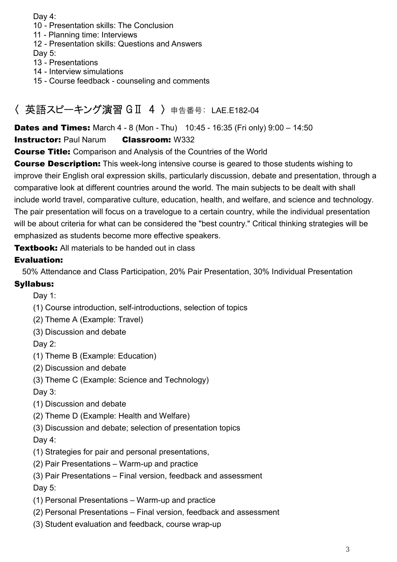Day 4:

- 10 Presentation skills: The Conclusion
- 11 Planning time: Interviews
- 12 Presentation skills: Questions and Answers
- Day 5:
- 13 Presentations
- 14 Interview simulations
- 15 Course feedback counseling and comments

# 〈 英語スピーキング演習 GⅡ 4 〉 申告番号: LAE.E182-04

**Dates and Times:** March  $4 - 8$  (Mon - Thu)  $10:45 - 16:35$  (Fri only)  $9:00 - 14:50$ 

#### **Instructor: Paul Narum Classroom: W332**

Course Title: Comparison and Analysis of the Countries of the World

**Course Description:** This week-long intensive course is geared to those students wishing to improve their English oral expression skills, particularly discussion, debate and presentation, through a comparative look at different countries around the world. The main subjects to be dealt with shall include world travel, comparative culture, education, health, and welfare, and science and technology. The pair presentation will focus on a travelogue to a certain country, while the individual presentation will be about criteria for what can be considered the "best country." Critical thinking strategies will be emphasized as students become more effective speakers.

**Textbook:** All materials to be handed out in class

#### Evaluation:

50% Attendance and Class Participation, 20% Pair Presentation, 30% Individual Presentation

#### Syllabus:

Day 1:

- (1) Course introduction, self-introductions, selection of topics
- (2) Theme A (Example: Travel)
- (3) Discussion and debate

Day 2:

- (1) Theme B (Example: Education)
- (2) Discussion and debate
- (3) Theme C (Example: Science and Technology)

Day 3:

- (1) Discussion and debate
- (2) Theme D (Example: Health and Welfare)
- (3) Discussion and debate; selection of presentation topics

#### Day 4:

- (1) Strategies for pair and personal presentations,
- (2) Pair Presentations Warm-up and practice
- (3) Pair Presentations Final version, feedback and assessment

Day 5:

- (1) Personal Presentations Warm-up and practice
- (2) Personal Presentations Final version, feedback and assessment
- (3) Student evaluation and feedback, course wrap-up